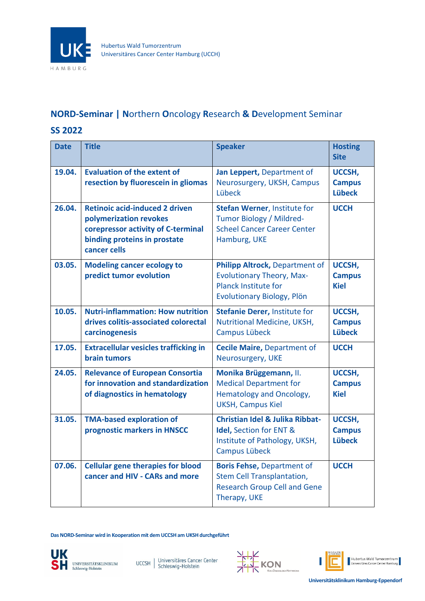

## **NORD-Seminar | N**orthern **O**ncology **R**esearch **& D**evelopment Seminar

## **SS 2022**

| <b>Date</b> | <b>Title</b>                                                                                                                                          | <b>Speaker</b>                                                                                                                  | <b>Hosting</b><br><b>Site</b>            |
|-------------|-------------------------------------------------------------------------------------------------------------------------------------------------------|---------------------------------------------------------------------------------------------------------------------------------|------------------------------------------|
| 19.04.      | <b>Evaluation of the extent of</b><br>resection by fluorescein in gliomas                                                                             | Jan Leppert, Department of<br>Neurosurgery, UKSH, Campus<br>Lübeck                                                              | UCCSH,<br><b>Campus</b><br><b>Lübeck</b> |
| 26.04.      | <b>Retinoic acid-induced 2 driven</b><br>polymerization revokes<br>corepressor activity of C-terminal<br>binding proteins in prostate<br>cancer cells | <b>Stefan Werner, Institute for</b><br><b>Tumor Biology / Mildred-</b><br><b>Scheel Cancer Career Center</b><br>Hamburg, UKE    | <b>UCCH</b>                              |
| 03.05.      | <b>Modeling cancer ecology to</b><br>predict tumor evolution                                                                                          | Philipp Altrock, Department of<br><b>Evolutionary Theory, Max-</b><br><b>Planck Institute for</b><br>Evolutionary Biology, Plön | UCCSH,<br><b>Campus</b><br><b>Kiel</b>   |
| 10.05.      | <b>Nutri-inflammation: How nutrition</b><br>drives colitis-associated colorectal<br>carcinogenesis                                                    | <b>Stefanie Derer, Institute for</b><br>Nutritional Medicine, UKSH,<br>Campus Lübeck                                            | UCCSH,<br><b>Campus</b><br><b>Lübeck</b> |
| 17.05.      | <b>Extracellular vesicles trafficking in</b><br><b>brain tumors</b>                                                                                   | <b>Cecile Maire, Department of</b><br>Neurosurgery, UKE                                                                         | <b>UCCH</b>                              |
| 24.05.      | <b>Relevance of European Consortia</b><br>for innovation and standardization<br>of diagnostics in hematology                                          | Monika Brüggemann, II.<br><b>Medical Department for</b><br>Hematology and Oncology,<br><b>UKSH, Campus Kiel</b>                 | UCCSH,<br><b>Campus</b><br><b>Kiel</b>   |
| 31.05.      | <b>TMA-based exploration of</b><br>prognostic markers in HNSCC                                                                                        | <b>Christian Idel &amp; Julika Ribbat-</b><br>Idel, Section for ENT &<br>Institute of Pathology, UKSH,<br><b>Campus Lübeck</b>  | UCCSH,<br><b>Campus</b><br><b>Lübeck</b> |
| 07.06.      | <b>Cellular gene therapies for blood</b><br>cancer and HIV - CARs and more                                                                            | <b>Boris Fehse, Department of</b><br><b>Stem Cell Transplantation,</b><br><b>Research Group Cell and Gene</b><br>Therapy, UKE   | <b>UCCH</b>                              |

**Das NORD-Seminar wird in Kooperation mit dem UCCSH am UKSH durchgeführt**